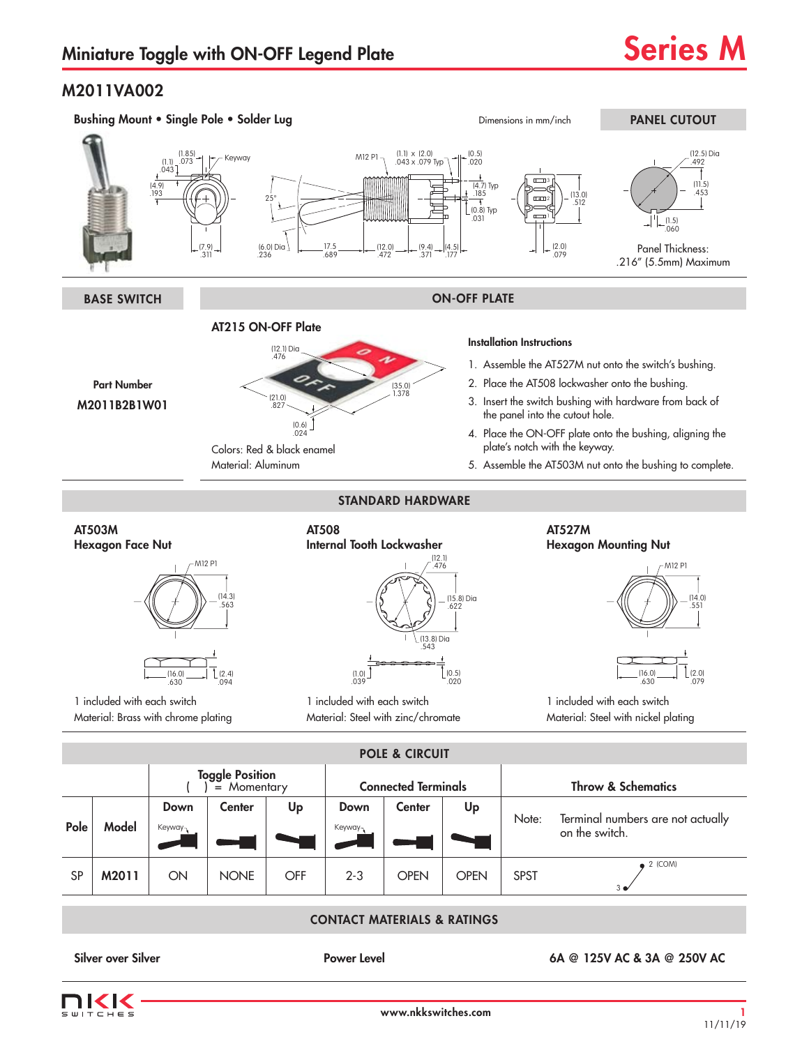## M2011VA002

 $\bar{1} = 5$